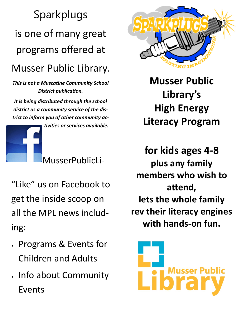# Sparkplugs is one of many great programs offered at Musser Public Library.

*This is not a Muscatine Community School District publication.* 

*It is being distributed through the school district as a community service of the district to inform you of other community ac-*



"Like" us on Facebook to get the inside scoop on all the MPL news including:

- Programs & Events for Children and Adults
- . Info about Community Events



**Musser Public Library's High Energy Literacy Program**

**for kids ages 4-8 plus any family members who wish to attend, lets the whole family rev their literacy engines with hands-on fun.**